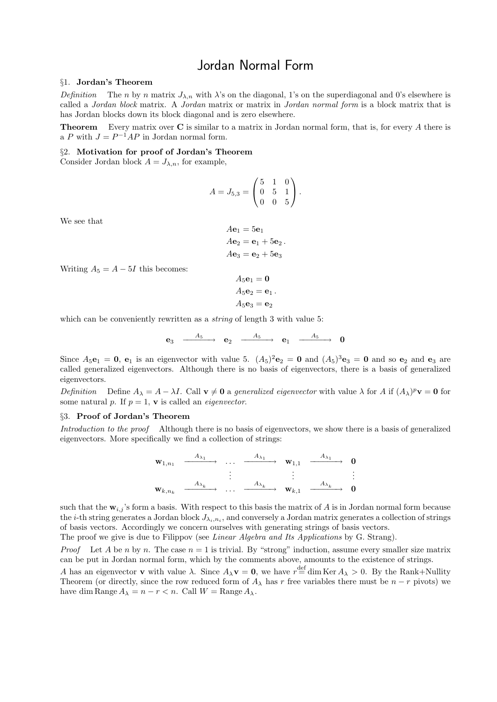## Jordan Normal Form

## §1. Jordan's Theorem

Definition The n by n matrix  $J_{\lambda,n}$  with  $\lambda$ 's on the diagonal, 1's on the superdiagonal and 0's elsewhere is called a Jordan block matrix. A Jordan matrix or matrix in Jordan normal form is a block matrix that is has Jordan blocks down its block diagonal and is zero elsewhere.

**Theorem** Every matrix over **C** is similar to a matrix in Jordan normal form, that is, for every A there is a P with  $J = P^{-1}AP$  in Jordan normal form.

## §2. Motivation for proof of Jordan's Theorem

Consider Jordan block  $A = J_{\lambda,n}$ , for example,

$$
A = J_{5,3} = \begin{pmatrix} 5 & 1 & 0 \\ 0 & 5 & 1 \\ 0 & 0 & 5 \end{pmatrix}.
$$

We see that

$$
A\mathbf{e}_1 = 5\mathbf{e}_1
$$
  

$$
A\mathbf{e}_2 = \mathbf{e}_1 + 5\mathbf{e}_2
$$
.  

$$
A\mathbf{e}_3 = \mathbf{e}_2 + 5\mathbf{e}_3
$$

Writing  $A_5 = A - 5I$  this becomes:

$$
A_5\mathbf{e}_1 = \mathbf{0}
$$
  

$$
A_5\mathbf{e}_2 = \mathbf{e}_1
$$
  

$$
A_5\mathbf{e}_3 = \mathbf{e}_2
$$

.

which can be conveniently rewritten as a *string* of length 3 with value 5:

$$
\mathbf{e}_3 \ \xrightarrow{\quad A_5} \ \mathbf{e}_2 \ \xrightarrow{\quad A_5} \ \mathbf{e}_1 \ \xrightarrow{\quad A_5} \ \mathbf{0}
$$

Since  $A_5e_1 = 0$ ,  $e_1$  is an eigenvector with value 5.  $(A_5)^2e_2 = 0$  and  $(A_5)^3e_3 = 0$  and so  $e_2$  and  $e_3$  are called generalized eigenvectors. Although there is no basis of eigenvectors, there is a basis of generalized eigenvectors.

Definition Define  $A_{\lambda} = A - \lambda I$ . Call  $\mathbf{v} \neq \mathbf{0}$  a generalized eigenvector with value  $\lambda$  for A if  $(A_{\lambda})^p \mathbf{v} = \mathbf{0}$  for some natural p. If  $p = 1$ , **v** is called an *eigenvector*.

## §3. Proof of Jordan's Theorem

Introduction to the proof Although there is no basis of eigenvectors, we show there is a basis of generalized eigenvectors. More specifically we find a collection of strings:



such that the  $w_{i,j}$ 's form a basis. With respect to this basis the matrix of A is in Jordan normal form because the *i*-th string generates a Jordan block  $J_{\lambda_i,n_i}$ , and conversely a Jordan matrix generates a collection of strings of basis vectors. Accordingly we concern ourselves with generating strings of basis vectors.

The proof we give is due to Filippov (see Linear Algebra and Its Applications by G. Strang).

*Proof* Let A be n by n. The case  $n = 1$  is trivial. By "strong" induction, assume every smaller size matrix can be put in Jordan normal form, which by the comments above, amounts to the existence of strings.

A has an eigenvector **v** with value  $\lambda$ . Since  $A_{\lambda}$ **v** = **0**, we have  $r \stackrel{\text{def}}{=} \dim \text{Ker } A_{\lambda} > 0$ . By the Rank+Nullity Theorem (or directly, since the row reduced form of  $A_\lambda$  has r free variables there must be  $n - r$  pivots) we have dim Range  $A_{\lambda} = n - r < n$ . Call  $W = \text{Range } A_{\lambda}$ .